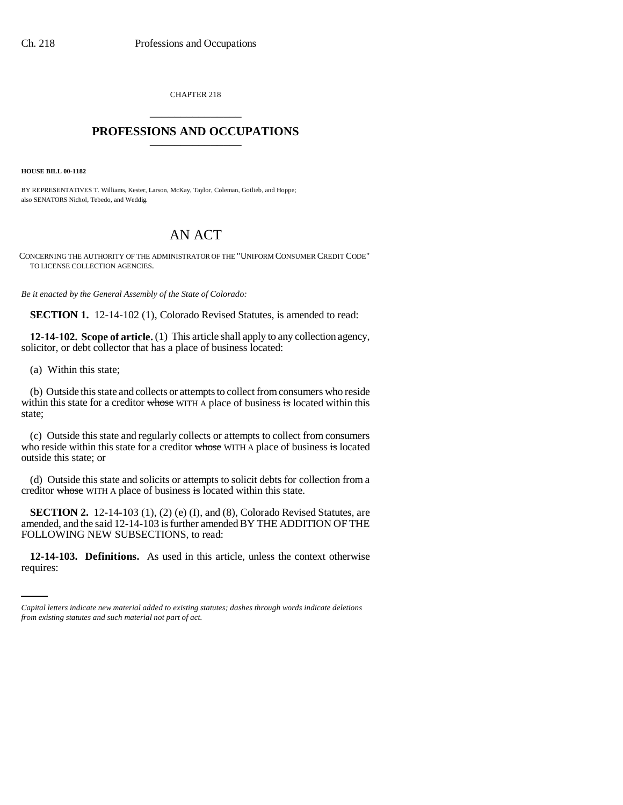CHAPTER 218 \_\_\_\_\_\_\_\_\_\_\_\_\_\_\_

## **PROFESSIONS AND OCCUPATIONS** \_\_\_\_\_\_\_\_\_\_\_\_\_\_\_

**HOUSE BILL 00-1182** 

BY REPRESENTATIVES T. Williams, Kester, Larson, McKay, Taylor, Coleman, Gotlieb, and Hoppe; also SENATORS Nichol, Tebedo, and Weddig.

# AN ACT

CONCERNING THE AUTHORITY OF THE ADMINISTRATOR OF THE "UNIFORM CONSUMER CREDIT CODE" TO LICENSE COLLECTION AGENCIES.

*Be it enacted by the General Assembly of the State of Colorado:*

**SECTION 1.** 12-14-102 (1), Colorado Revised Statutes, is amended to read:

**12-14-102. Scope of article.** (1) This article shall apply to any collection agency, solicitor, or debt collector that has a place of business located:

(a) Within this state;

(b) Outside this state and collects or attempts to collect from consumers who reside within this state for a creditor whose WITH A place of business is located within this state;

(c) Outside this state and regularly collects or attempts to collect from consumers who reside within this state for a creditor whose WITH A place of business is located outside this state; or

(d) Outside this state and solicits or attempts to solicit debts for collection from a creditor whose WITH A place of business is located within this state.

FOLLOWING NEW SUBSECTIONS, to read: **SECTION 2.** 12-14-103 (1), (2) (e) (I), and (8), Colorado Revised Statutes, are amended, and the said 12-14-103 is further amended BY THE ADDITION OF THE

**12-14-103. Definitions.** As used in this article, unless the context otherwise requires:

*Capital letters indicate new material added to existing statutes; dashes through words indicate deletions from existing statutes and such material not part of act.*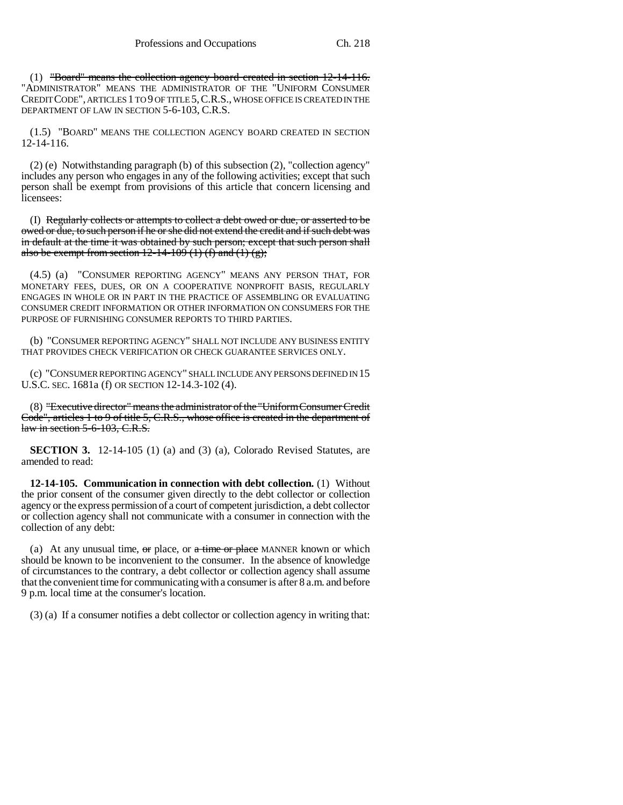(1) "Board" means the collection agency board created in section 12-14-116. "ADMINISTRATOR" MEANS THE ADMINISTRATOR OF THE "UNIFORM CONSUMER CREDIT CODE", ARTICLES 1 TO 9 OF TITLE 5,C.R.S., WHOSE OFFICE IS CREATED IN THE DEPARTMENT OF LAW IN SECTION 5-6-103, C.R.S.

(1.5) "BOARD" MEANS THE COLLECTION AGENCY BOARD CREATED IN SECTION 12-14-116.

(2) (e) Notwithstanding paragraph (b) of this subsection (2), "collection agency" includes any person who engages in any of the following activities; except that such person shall be exempt from provisions of this article that concern licensing and licensees:

(I) Regularly collects or attempts to collect a debt owed or due, or asserted to be owed or due, to such person if he or she did not extend the credit and if such debt was in default at the time it was obtained by such person; except that such person shall also be exempt from section 12-14-109 (1) (f) and (1) (g);

(4.5) (a) "CONSUMER REPORTING AGENCY" MEANS ANY PERSON THAT, FOR MONETARY FEES, DUES, OR ON A COOPERATIVE NONPROFIT BASIS, REGULARLY ENGAGES IN WHOLE OR IN PART IN THE PRACTICE OF ASSEMBLING OR EVALUATING CONSUMER CREDIT INFORMATION OR OTHER INFORMATION ON CONSUMERS FOR THE PURPOSE OF FURNISHING CONSUMER REPORTS TO THIRD PARTIES.

(b) "CONSUMER REPORTING AGENCY" SHALL NOT INCLUDE ANY BUSINESS ENTITY THAT PROVIDES CHECK VERIFICATION OR CHECK GUARANTEE SERVICES ONLY.

(c) "CONSUMER REPORTING AGENCY" SHALL INCLUDE ANY PERSONS DEFINED IN 15 U.S.C. SEC. 1681a (f) OR SECTION 12-14.3-102 (4).

(8) "Executive director" means the administrator of the "Uniform Consumer Credit Code", articles 1 to 9 of title 5, C.R.S., whose office is created in the department of law in section 5-6-103, C.R.S.

**SECTION 3.** 12-14-105 (1) (a) and (3) (a), Colorado Revised Statutes, are amended to read:

**12-14-105. Communication in connection with debt collection.** (1) Without the prior consent of the consumer given directly to the debt collector or collection agency or the express permission of a court of competent jurisdiction, a debt collector or collection agency shall not communicate with a consumer in connection with the collection of any debt:

(a) At any unusual time,  $\Theta$  place, or  $\alpha$  time or place MANNER known or which should be known to be inconvenient to the consumer. In the absence of knowledge of circumstances to the contrary, a debt collector or collection agency shall assume that the convenient time for communicating with a consumer is after 8 a.m. and before 9 p.m. local time at the consumer's location.

(3) (a) If a consumer notifies a debt collector or collection agency in writing that: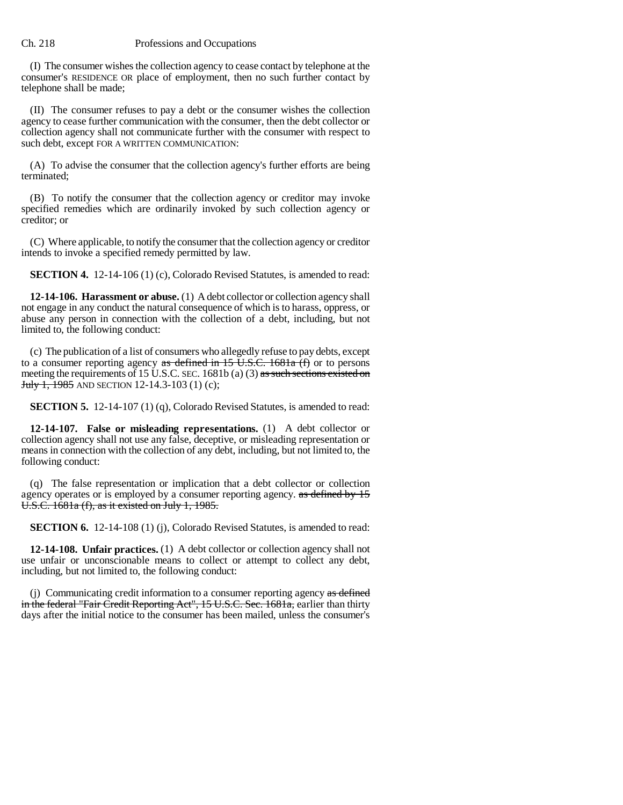(I) The consumer wishes the collection agency to cease contact by telephone at the consumer's RESIDENCE OR place of employment, then no such further contact by telephone shall be made;

(II) The consumer refuses to pay a debt or the consumer wishes the collection agency to cease further communication with the consumer, then the debt collector or collection agency shall not communicate further with the consumer with respect to such debt, except FOR A WRITTEN COMMUNICATION:

(A) To advise the consumer that the collection agency's further efforts are being terminated;

(B) To notify the consumer that the collection agency or creditor may invoke specified remedies which are ordinarily invoked by such collection agency or creditor; or

(C) Where applicable, to notify the consumer that the collection agency or creditor intends to invoke a specified remedy permitted by law.

**SECTION 4.** 12-14-106 (1) (c), Colorado Revised Statutes, is amended to read:

**12-14-106. Harassment or abuse.** (1) A debt collector or collection agency shall not engage in any conduct the natural consequence of which is to harass, oppress, or abuse any person in connection with the collection of a debt, including, but not limited to, the following conduct:

(c) The publication of a list of consumers who allegedly refuse to pay debts, except to a consumer reporting agency as defined in 15 U.S.C. 1681a  $(t)$  or to persons meeting the requirements of 15 U.S.C. SEC. 1681b (a) (3) as such sections existed on July 1, 1985 AND SECTION 12-14.3-103 (1) (c);

**SECTION 5.** 12-14-107 (1) (q), Colorado Revised Statutes, is amended to read:

**12-14-107. False or misleading representations.** (1) A debt collector or collection agency shall not use any false, deceptive, or misleading representation or means in connection with the collection of any debt, including, but not limited to, the following conduct:

(q) The false representation or implication that a debt collector or collection agency operates or is employed by a consumer reporting agency. as defined by 15 U.S.C. 1681a (f), as it existed on July 1, 1985.

**SECTION 6.** 12-14-108 (1) (j), Colorado Revised Statutes, is amended to read:

**12-14-108. Unfair practices.** (1) A debt collector or collection agency shall not use unfair or unconscionable means to collect or attempt to collect any debt, including, but not limited to, the following conduct:

(j) Communicating credit information to a consumer reporting agency as defined in the federal "Fair Credit Reporting Act", 15 U.S.C. Sec. 1681a, earlier than thirty days after the initial notice to the consumer has been mailed, unless the consumer's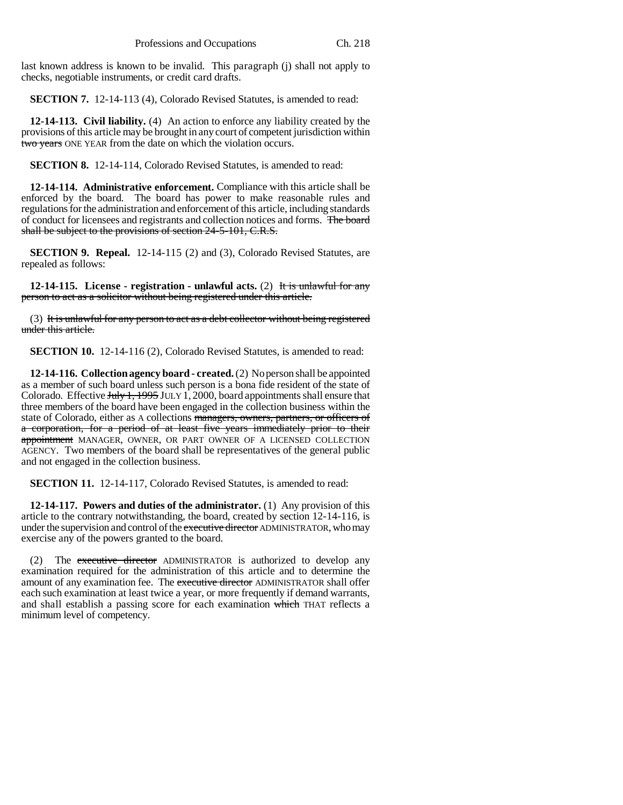last known address is known to be invalid. This paragraph (j) shall not apply to checks, negotiable instruments, or credit card drafts.

**SECTION 7.** 12-14-113 (4), Colorado Revised Statutes, is amended to read:

**12-14-113. Civil liability.** (4) An action to enforce any liability created by the provisions of this article may be brought in any court of competent jurisdiction within two years ONE YEAR from the date on which the violation occurs.

**SECTION 8.** 12-14-114, Colorado Revised Statutes, is amended to read:

**12-14-114. Administrative enforcement.** Compliance with this article shall be enforced by the board. The board has power to make reasonable rules and regulations for the administration and enforcement of this article, including standards of conduct for licensees and registrants and collection notices and forms. The board shall be subject to the provisions of section 24-5-101, C.R.S.

**SECTION 9. Repeal.** 12-14-115 (2) and (3), Colorado Revised Statutes, are repealed as follows:

**12-14-115. License - registration - unlawful acts.** (2) It is unlawful for any person to act as a solicitor without being registered under this article.

(3) It is unlawful for any person to act as a debt collector without being registered under this article.

**SECTION 10.** 12-14-116 (2), Colorado Revised Statutes, is amended to read:

**12-14-116. Collection agency board - created.** (2) No person shall be appointed as a member of such board unless such person is a bona fide resident of the state of Colorado. Effective July 1, 1995 JULY 1, 2000, board appointments shall ensure that three members of the board have been engaged in the collection business within the state of Colorado, either as A collections managers, owners, partners, or officers of a corporation, for a period of at least five years immediately prior to their appointment MANAGER, OWNER, OR PART OWNER OF A LICENSED COLLECTION AGENCY. Two members of the board shall be representatives of the general public and not engaged in the collection business.

**SECTION 11.** 12-14-117, Colorado Revised Statutes, is amended to read:

**12-14-117. Powers and duties of the administrator.** (1) Any provision of this article to the contrary notwithstanding, the board, created by section 12-14-116, is under the supervision and control of the executive director ADMINISTRATOR, who may exercise any of the powers granted to the board.

(2) The executive director ADMINISTRATOR is authorized to develop any examination required for the administration of this article and to determine the amount of any examination fee. The executive director ADMINISTRATOR shall offer each such examination at least twice a year, or more frequently if demand warrants, and shall establish a passing score for each examination which THAT reflects a minimum level of competency.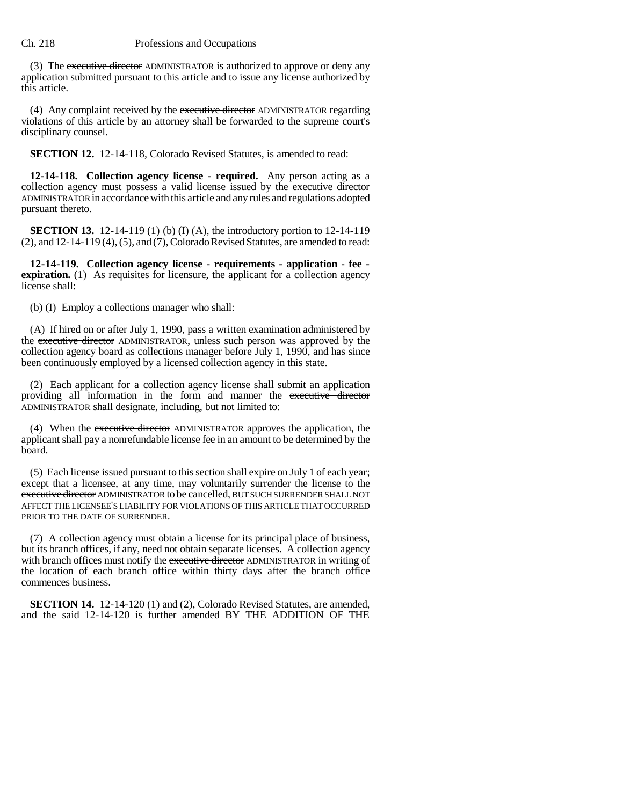(3) The executive director ADMINISTRATOR is authorized to approve or deny any application submitted pursuant to this article and to issue any license authorized by this article.

(4) Any complaint received by the executive director ADMINISTRATOR regarding violations of this article by an attorney shall be forwarded to the supreme court's disciplinary counsel.

**SECTION 12.** 12-14-118, Colorado Revised Statutes, is amended to read:

**12-14-118. Collection agency license - required.** Any person acting as a collection agency must possess a valid license issued by the executive director ADMINISTRATOR in accordance with this article and any rules and regulations adopted pursuant thereto.

**SECTION 13.** 12-14-119 (1) (b) (I) (A), the introductory portion to 12-14-119 (2), and 12-14-119 (4), (5), and (7), Colorado Revised Statutes, are amended to read:

**12-14-119. Collection agency license - requirements - application - fee expiration.** (1) As requisites for licensure, the applicant for a collection agency license shall:

(b) (I) Employ a collections manager who shall:

(A) If hired on or after July 1, 1990, pass a written examination administered by the executive director ADMINISTRATOR, unless such person was approved by the collection agency board as collections manager before July 1, 1990, and has since been continuously employed by a licensed collection agency in this state.

(2) Each applicant for a collection agency license shall submit an application providing all information in the form and manner the executive director ADMINISTRATOR shall designate, including, but not limited to:

(4) When the executive director ADMINISTRATOR approves the application, the applicant shall pay a nonrefundable license fee in an amount to be determined by the board.

(5) Each license issued pursuant to this section shall expire on July 1 of each year; except that a licensee, at any time, may voluntarily surrender the license to the executive director ADMINISTRATOR to be cancelled, BUT SUCH SURRENDER SHALL NOT AFFECT THE LICENSEE'S LIABILITY FOR VIOLATIONS OF THIS ARTICLE THAT OCCURRED PRIOR TO THE DATE OF SURRENDER.

(7) A collection agency must obtain a license for its principal place of business, but its branch offices, if any, need not obtain separate licenses. A collection agency with branch offices must notify the executive director ADMINISTRATOR in writing of the location of each branch office within thirty days after the branch office commences business.

**SECTION 14.** 12-14-120 (1) and (2), Colorado Revised Statutes, are amended, and the said 12-14-120 is further amended BY THE ADDITION OF THE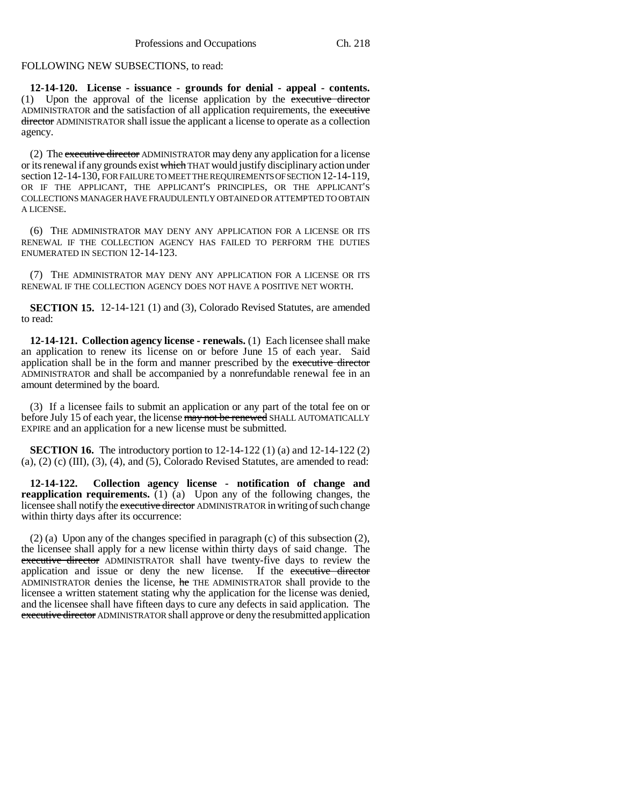## FOLLOWING NEW SUBSECTIONS, to read:

**12-14-120. License - issuance - grounds for denial - appeal - contents.** (1) Upon the approval of the license application by the executive director ADMINISTRATOR and the satisfaction of all application requirements, the executive director ADMINISTRATOR shall issue the applicant a license to operate as a collection agency.

(2) The executive director ADMINISTRATOR may deny any application for a license or its renewal if any grounds exist which THAT would justify disciplinary action under section 12-14-130, FOR FAILURE TO MEET THE REQUIREMENTS OF SECTION 12-14-119, OR IF THE APPLICANT, THE APPLICANT'S PRINCIPLES, OR THE APPLICANT'S COLLECTIONS MANAGER HAVE FRAUDULENTLY OBTAINED OR ATTEMPTED TO OBTAIN A LICENSE.

(6) THE ADMINISTRATOR MAY DENY ANY APPLICATION FOR A LICENSE OR ITS RENEWAL IF THE COLLECTION AGENCY HAS FAILED TO PERFORM THE DUTIES ENUMERATED IN SECTION 12-14-123.

(7) THE ADMINISTRATOR MAY DENY ANY APPLICATION FOR A LICENSE OR ITS RENEWAL IF THE COLLECTION AGENCY DOES NOT HAVE A POSITIVE NET WORTH.

**SECTION 15.** 12-14-121 (1) and (3), Colorado Revised Statutes, are amended to read:

**12-14-121. Collection agency license - renewals.** (1) Each licensee shall make an application to renew its license on or before June 15 of each year. Said application shall be in the form and manner prescribed by the executive director ADMINISTRATOR and shall be accompanied by a nonrefundable renewal fee in an amount determined by the board.

(3) If a licensee fails to submit an application or any part of the total fee on or before July 15 of each year, the license may not be renewed SHALL AUTOMATICALLY EXPIRE and an application for a new license must be submitted.

**SECTION 16.** The introductory portion to 12-14-122 (1) (a) and 12-14-122 (2)  $(a)$ ,  $(2)$   $(c)$   $(III)$ ,  $(3)$ ,  $(4)$ , and  $(5)$ , Colorado Revised Statutes, are amended to read:

**12-14-122. Collection agency license - notification of change and reapplication requirements.** (1) (a) Upon any of the following changes, the licensee shall notify the executive director ADMINISTRATOR in writing of such change within thirty days after its occurrence:

(2) (a) Upon any of the changes specified in paragraph (c) of this subsection (2), the licensee shall apply for a new license within thirty days of said change. The executive director ADMINISTRATOR shall have twenty-five days to review the application and issue or deny the new license. If the executive director ADMINISTRATOR denies the license, he THE ADMINISTRATOR shall provide to the licensee a written statement stating why the application for the license was denied, and the licensee shall have fifteen days to cure any defects in said application. The executive director ADMINISTRATOR shall approve or deny the resubmitted application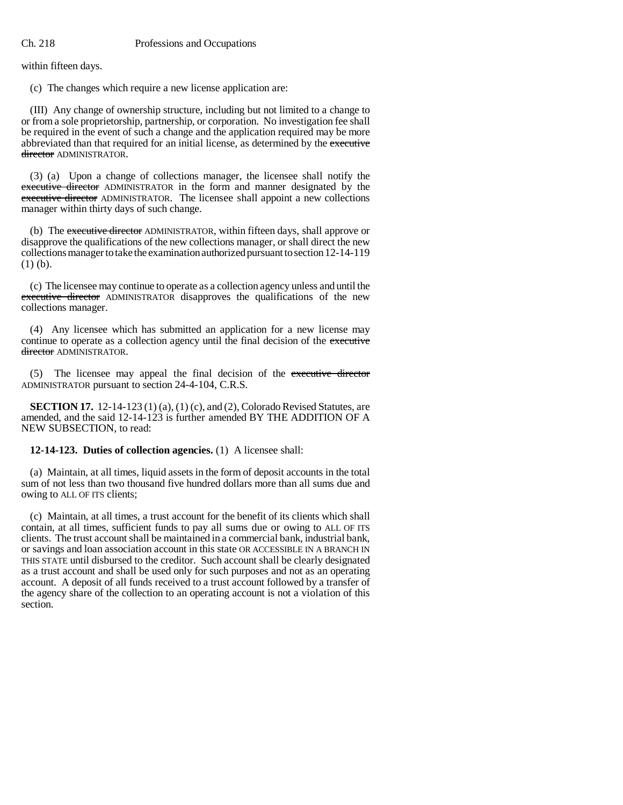within fifteen days.

(c) The changes which require a new license application are:

(III) Any change of ownership structure, including but not limited to a change to or from a sole proprietorship, partnership, or corporation. No investigation fee shall be required in the event of such a change and the application required may be more abbreviated than that required for an initial license, as determined by the executive director ADMINISTRATOR.

(3) (a) Upon a change of collections manager, the licensee shall notify the executive director ADMINISTRATOR in the form and manner designated by the executive director ADMINISTRATOR. The licensee shall appoint a new collections manager within thirty days of such change.

(b) The executive director ADMINISTRATOR, within fifteen days, shall approve or disapprove the qualifications of the new collections manager, or shall direct the new collections manager to take the examination authorized pursuant to section 12-14-119 (1) (b).

(c) The licensee may continue to operate as a collection agency unless and until the executive director ADMINISTRATOR disapproves the qualifications of the new collections manager.

(4) Any licensee which has submitted an application for a new license may continue to operate as a collection agency until the final decision of the executive director ADMINISTRATOR.

(5) The licensee may appeal the final decision of the executive director ADMINISTRATOR pursuant to section 24-4-104, C.R.S.

**SECTION 17.** 12-14-123 (1) (a), (1) (c), and (2), Colorado Revised Statutes, are amended, and the said 12-14-123 is further amended BY THE ADDITION OF A NEW SUBSECTION, to read:

## **12-14-123. Duties of collection agencies.** (1) A licensee shall:

(a) Maintain, at all times, liquid assets in the form of deposit accounts in the total sum of not less than two thousand five hundred dollars more than all sums due and owing to ALL OF ITS clients;

(c) Maintain, at all times, a trust account for the benefit of its clients which shall contain, at all times, sufficient funds to pay all sums due or owing to ALL OF ITS clients. The trust account shall be maintained in a commercial bank, industrial bank, or savings and loan association account in this state OR ACCESSIBLE IN A BRANCH IN THIS STATE until disbursed to the creditor. Such account shall be clearly designated as a trust account and shall be used only for such purposes and not as an operating account. A deposit of all funds received to a trust account followed by a transfer of the agency share of the collection to an operating account is not a violation of this section.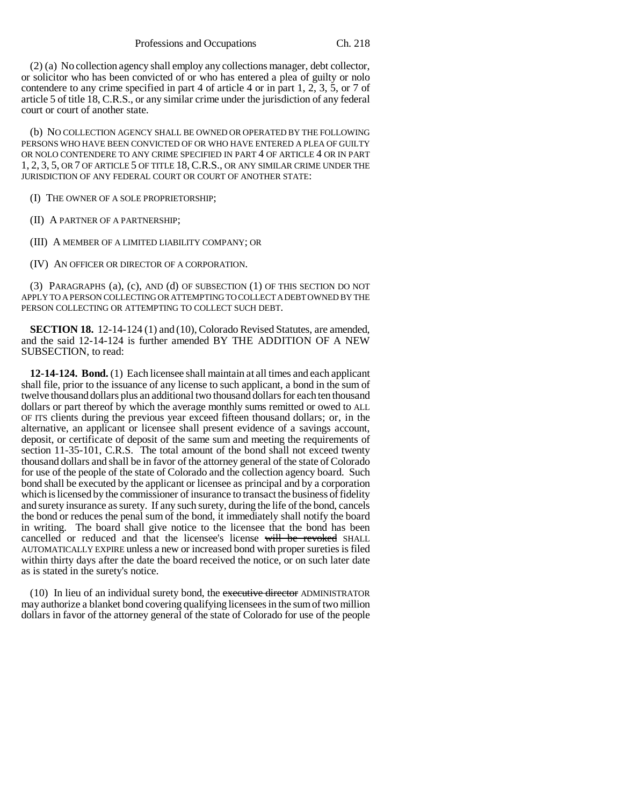(2) (a) No collection agency shall employ any collections manager, debt collector, or solicitor who has been convicted of or who has entered a plea of guilty or nolo contendere to any crime specified in part 4 of article 4 or in part 1, 2, 3, 5, or 7 of article 5 of title 18, C.R.S., or any similar crime under the jurisdiction of any federal court or court of another state.

(b) NO COLLECTION AGENCY SHALL BE OWNED OR OPERATED BY THE FOLLOWING PERSONS WHO HAVE BEEN CONVICTED OF OR WHO HAVE ENTERED A PLEA OF GUILTY OR NOLO CONTENDERE TO ANY CRIME SPECIFIED IN PART 4 OF ARTICLE 4 OR IN PART 1, 2, 3, 5, OR 7 OF ARTICLE 5 OF TITLE 18, C.R.S., OR ANY SIMILAR CRIME UNDER THE JURISDICTION OF ANY FEDERAL COURT OR COURT OF ANOTHER STATE:

(I) THE OWNER OF A SOLE PROPRIETORSHIP;

(II) A PARTNER OF A PARTNERSHIP;

(III) A MEMBER OF A LIMITED LIABILITY COMPANY; OR

(IV) AN OFFICER OR DIRECTOR OF A CORPORATION.

(3) PARAGRAPHS (a), (c), AND (d) OF SUBSECTION (1) OF THIS SECTION DO NOT APPLY TO A PERSON COLLECTING OR ATTEMPTING TO COLLECT A DEBT OWNED BY THE PERSON COLLECTING OR ATTEMPTING TO COLLECT SUCH DEBT.

**SECTION 18.** 12-14-124 (1) and (10), Colorado Revised Statutes, are amended, and the said 12-14-124 is further amended BY THE ADDITION OF A NEW SUBSECTION, to read:

**12-14-124. Bond.** (1) Each licensee shall maintain at all times and each applicant shall file, prior to the issuance of any license to such applicant, a bond in the sum of twelve thousand dollars plus an additional two thousand dollars for each ten thousand dollars or part thereof by which the average monthly sums remitted or owed to ALL OF ITS clients during the previous year exceed fifteen thousand dollars; or, in the alternative, an applicant or licensee shall present evidence of a savings account, deposit, or certificate of deposit of the same sum and meeting the requirements of section 11-35-101, C.R.S. The total amount of the bond shall not exceed twenty thousand dollars and shall be in favor of the attorney general of the state of Colorado for use of the people of the state of Colorado and the collection agency board. Such bond shall be executed by the applicant or licensee as principal and by a corporation which is licensed by the commissioner of insurance to transact the business of fidelity and surety insurance as surety. If any such surety, during the life of the bond, cancels the bond or reduces the penal sum of the bond, it immediately shall notify the board in writing. The board shall give notice to the licensee that the bond has been cancelled or reduced and that the licensee's license will be revoked SHALL AUTOMATICALLY EXPIRE unless a new or increased bond with proper sureties is filed within thirty days after the date the board received the notice, or on such later date as is stated in the surety's notice.

(10) In lieu of an individual surety bond, the executive director ADMINISTRATOR may authorize a blanket bond covering qualifying licensees in the sum of two million dollars in favor of the attorney general of the state of Colorado for use of the people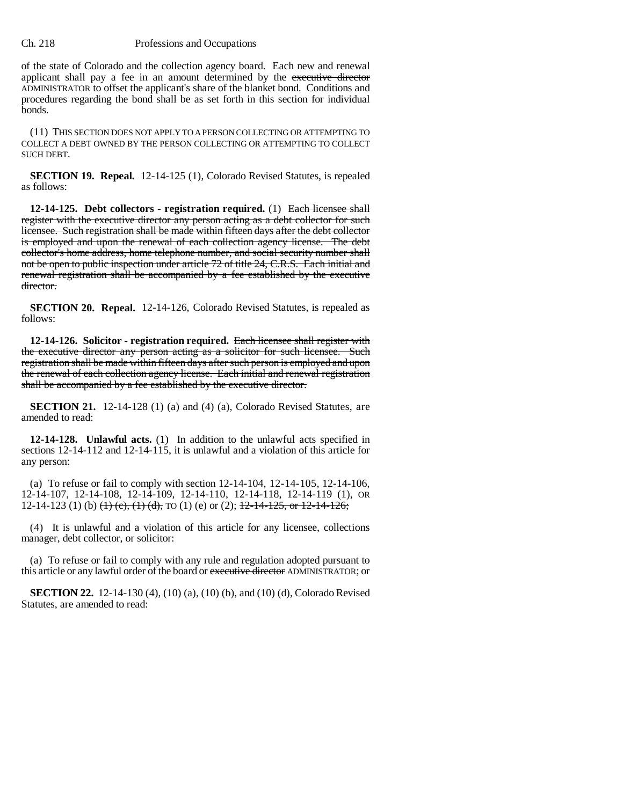of the state of Colorado and the collection agency board. Each new and renewal applicant shall pay a fee in an amount determined by the executive director ADMINISTRATOR to offset the applicant's share of the blanket bond. Conditions and procedures regarding the bond shall be as set forth in this section for individual bonds.

(11) THIS SECTION DOES NOT APPLY TO A PERSON COLLECTING OR ATTEMPTING TO COLLECT A DEBT OWNED BY THE PERSON COLLECTING OR ATTEMPTING TO COLLECT SUCH DEBT.

**SECTION 19. Repeal.** 12-14-125 (1), Colorado Revised Statutes, is repealed as follows:

**12-14-125. Debt collectors - registration required.** (1) Each licensee shall register with the executive director any person acting as a debt collector for such licensee. Such registration shall be made within fifteen days after the debt collector is employed and upon the renewal of each collection agency license. The debt collector's home address, home telephone number, and social security number shall not be open to public inspection under article 72 of title 24, C.R.S. Each initial and renewal registration shall be accompanied by a fee established by the executive director.

**SECTION 20. Repeal.** 12-14-126, Colorado Revised Statutes, is repealed as follows:

**12-14-126. Solicitor - registration required.** Each licensee shall register with the executive director any person acting as a solicitor for such licensee. Such registration shall be made within fifteen days after such person is employed and upon the renewal of each collection agency license. Each initial and renewal registration shall be accompanied by a fee established by the executive director.

**SECTION 21.** 12-14-128 (1) (a) and (4) (a), Colorado Revised Statutes, are amended to read:

**12-14-128. Unlawful acts.** (1) In addition to the unlawful acts specified in sections 12-14-112 and 12-14-115, it is unlawful and a violation of this article for any person:

(a) To refuse or fail to comply with section 12-14-104, 12-14-105, 12-14-106, 12-14-107, 12-14-108, 12-14-109, 12-14-110, 12-14-118, 12-14-119 (1), OR 12-14-123 (1) (b)  $\left(\frac{1}{1}\right)$  (c),  $\left(\frac{1}{1}\right)$  (d), TO (1) (e) or (2);  $\frac{12-14-125}{25}$ , or 12-14-126;

(4) It is unlawful and a violation of this article for any licensee, collections manager, debt collector, or solicitor:

(a) To refuse or fail to comply with any rule and regulation adopted pursuant to this article or any lawful order of the board or executive director ADMINISTRATOR; or

**SECTION 22.** 12-14-130 (4), (10) (a), (10) (b), and (10) (d), Colorado Revised Statutes, are amended to read: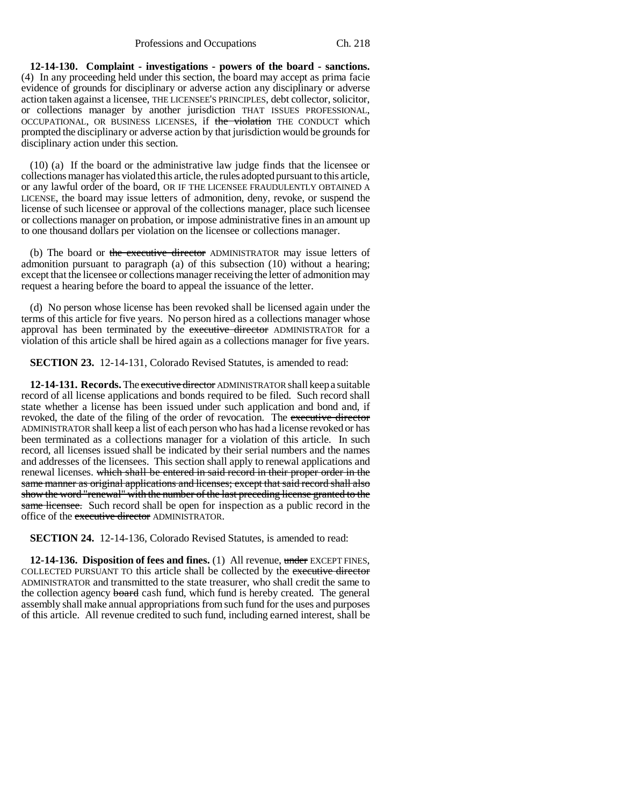## Professions and Occupations Ch. 218

**12-14-130. Complaint - investigations - powers of the board - sanctions.** (4) In any proceeding held under this section, the board may accept as prima facie evidence of grounds for disciplinary or adverse action any disciplinary or adverse action taken against a licensee, THE LICENSEE'S PRINCIPLES, debt collector, solicitor, or collections manager by another jurisdiction THAT ISSUES PROFESSIONAL, OCCUPATIONAL, OR BUSINESS LICENSES, if the violation THE CONDUCT which prompted the disciplinary or adverse action by that jurisdiction would be grounds for disciplinary action under this section.

(10) (a) If the board or the administrative law judge finds that the licensee or collections manager has violated this article, the rules adopted pursuant to this article, or any lawful order of the board, OR IF THE LICENSEE FRAUDULENTLY OBTAINED A LICENSE, the board may issue letters of admonition, deny, revoke, or suspend the license of such licensee or approval of the collections manager, place such licensee or collections manager on probation, or impose administrative fines in an amount up to one thousand dollars per violation on the licensee or collections manager.

(b) The board or the executive director ADMINISTRATOR may issue letters of admonition pursuant to paragraph (a) of this subsection (10) without a hearing; except that the licensee or collections manager receiving the letter of admonition may request a hearing before the board to appeal the issuance of the letter.

(d) No person whose license has been revoked shall be licensed again under the terms of this article for five years. No person hired as a collections manager whose approval has been terminated by the executive director ADMINISTRATOR for a violation of this article shall be hired again as a collections manager for five years.

**SECTION 23.** 12-14-131, Colorado Revised Statutes, is amended to read:

**12-14-131. Records.** The executive director ADMINISTRATOR shall keep a suitable record of all license applications and bonds required to be filed. Such record shall state whether a license has been issued under such application and bond and, if revoked, the date of the filing of the order of revocation. The executive director ADMINISTRATOR shall keep a list of each person who has had a license revoked or has been terminated as a collections manager for a violation of this article. In such record, all licenses issued shall be indicated by their serial numbers and the names and addresses of the licensees. This section shall apply to renewal applications and renewal licenses. which shall be entered in said record in their proper order in the same manner as original applications and licenses; except that said record shall also show the word "renewal" with the number of the last preceding license granted to the same licensee. Such record shall be open for inspection as a public record in the office of the executive director ADMINISTRATOR.

**SECTION 24.** 12-14-136, Colorado Revised Statutes, is amended to read:

**12-14-136. Disposition of fees and fines.** (1) All revenue, under EXCEPT FINES, COLLECTED PURSUANT TO this article shall be collected by the executive director ADMINISTRATOR and transmitted to the state treasurer, who shall credit the same to the collection agency board cash fund, which fund is hereby created. The general assembly shall make annual appropriations from such fund for the uses and purposes of this article. All revenue credited to such fund, including earned interest, shall be